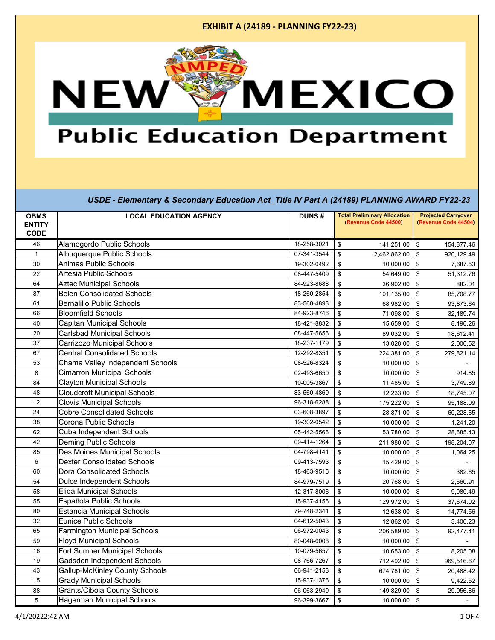

## **Public Education Department**

|                              |                                       |              | <b>Total Preliminary Allocation</b> | <b>Projected Carryover</b> |
|------------------------------|---------------------------------------|--------------|-------------------------------------|----------------------------|
| <b>OBMS</b><br><b>ENTITY</b> | <b>LOCAL EDUCATION AGENCY</b>         | <b>DUNS#</b> | (Revenue Code 44500)                | (Revenue Code 44504)       |
| <b>CODE</b>                  |                                       |              |                                     |                            |
| 46                           | Alamogordo Public Schools             | 18-258-3021  | \$<br>141,251.00                    | \$<br>154,877.46           |
| $\mathbf{1}$                 | Albuquerque Public Schools            | 07-341-3544  | \$<br>2,462,862.00                  | \$<br>920,129.49           |
| 30                           | <b>Animas Public Schools</b>          | 19-302-0492  | \$<br>10.000.00                     | \$<br>7,687.53             |
| 22                           | Artesia Public Schools                | 08-447-5409  | \$<br>54,649.00                     | \$<br>51,312.76            |
| 64                           | <b>Aztec Municipal Schools</b>        | 84-923-8688  | \$<br>36,902.00                     | \$<br>882.01               |
| 87                           | <b>Belen Consolidated Schools</b>     | 18-260-2854  | \$<br>101,135.00                    | \$<br>85,708.77            |
| 61                           | <b>Bernalillo Public Schools</b>      | 83-560-4893  | \$<br>68,982.00                     | \$<br>93,873.64            |
| 66                           | <b>Bloomfield Schools</b>             | 84-923-8746  | \$<br>71,098.00                     | \$<br>32,189.74            |
| 40                           | Capitan Municipal Schools             | 18-421-8832  | \$<br>15,659.00                     | \$<br>8,190.26             |
| 20                           | <b>Carlsbad Municipal Schools</b>     | 08-447-5656  | \$<br>89,032.00                     | \$<br>18,612.41            |
| 37                           | Carrizozo Municipal Schools           | 18-237-1179  | \$<br>13,028.00                     | \$<br>2,000.52             |
| 67                           | <b>Central Consolidated Schools</b>   | 12-292-8351  | \$<br>224,381.00                    | \$<br>279,821.14           |
| 53                           | Chama Valley Independent Schools      | 08-526-8324  | \$<br>10,000.00                     | \$                         |
| 8                            | <b>Cimarron Municipal Schools</b>     | 02-493-6650  | \$<br>10,000.00                     | \$<br>914.85               |
| 84                           | <b>Clayton Municipal Schools</b>      | 10-005-3867  | \$<br>11,485.00                     | \$<br>3,749.89             |
| 48                           | <b>Cloudcroft Municipal Schools</b>   | 83-560-4869  | \$<br>12,233.00                     | \$<br>18,745.07            |
| 12                           | <b>Clovis Municipal Schools</b>       | 96-318-6288  | \$<br>175,222.00                    | \$<br>95,188.09            |
| 24                           | <b>Cobre Consolidated Schools</b>     | 03-608-3897  | \$<br>28,871.00                     | \$<br>60,228.65            |
| 38                           | Corona Public Schools                 | 19-302-0542  | \$<br>10,000.00                     | \$<br>1,241.20             |
| 62                           | Cuba Independent Schools              | 05-442-5566  | \$<br>53,780.00                     | \$<br>28,685.43            |
| 42                           | <b>Deming Public Schools</b>          | 09-414-1264  | \$<br>211,980.00                    | \$<br>198,204.07           |
| 85                           | Des Moines Municipal Schools          | 04-798-4141  | \$<br>10,000.00                     | \$<br>1,064.25             |
| 6                            | <b>Dexter Consolidated Schools</b>    | 09-413-7593  | \$<br>15,429.00                     | \$                         |
| 60                           | Dora Consolidated Schools             | 18-463-9516  | \$<br>10,000.00                     | \$<br>382.65               |
| 54                           | <b>Dulce Independent Schools</b>      | 84-979-7519  | \$<br>20,768.00                     | \$<br>2,660.91             |
| 58                           | <b>Elida Municipal Schools</b>        | 12-317-8006  | \$<br>10,000.00                     | \$<br>9,080.49             |
| 55                           | Española Public Schools               | 15-937-4156  | \$<br>129,972.00                    | \$<br>37,674.02            |
| 80                           | <b>Estancia Municipal Schools</b>     | 79-748-2341  | \$<br>12,638.00                     | \$<br>14,774.56            |
| 32                           | <b>Eunice Public Schools</b>          | 04-612-5043  | \$<br>12,862.00                     | \$<br>3,406.23             |
| 65                           | <b>Farmington Municipal Schools</b>   | 06-972-0043  | \$<br>206,589.00                    | \$<br>92,477.41            |
| 59                           | <b>Floyd Municipal Schools</b>        | 80-048-6008  | \$<br>10,000.00                     | \$                         |
| 16                           | Fort Sumner Municipal Schools         | 10-079-5657  | \$<br>10,653.00                     | \$<br>8,205.08             |
| 19                           | Gadsden Independent Schools           | 08-766-7267  | \$<br>712,492.00                    | \$<br>969,516.67           |
| 43                           | <b>Gallup-McKinley County Schools</b> | 06-941-2153  | \$<br>674,781.00                    | \$<br>20,488.42            |
| 15                           | <b>Grady Municipal Schools</b>        | 15-937-1376  | \$<br>10,000.00                     | \$<br>9,422.52             |
| 88                           | <b>Grants/Cibola County Schools</b>   | 06-063-2940  | \$<br>149,829.00                    | \$<br>29,056.86            |
| 5                            | <b>Hagerman Municipal Schools</b>     | 96-399-3667  | \$<br>10,000.00                     | \$                         |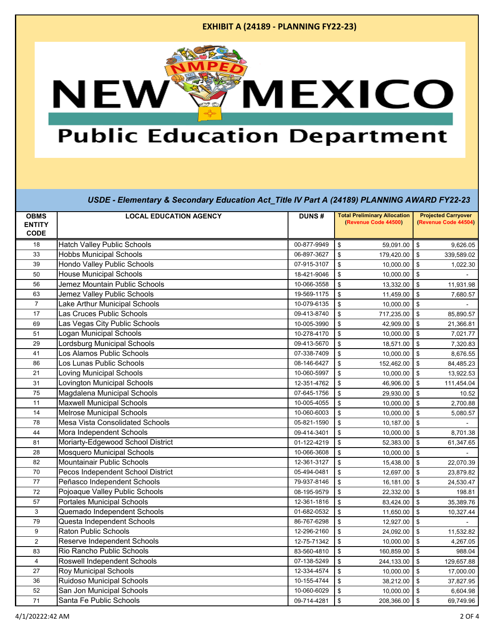

## **Public Education Department**

| <b>OBMS</b>    | <b>LOCAL EDUCATION AGENCY</b>      | <b>DUNS#</b> | <b>Total Preliminary Allocation</b>  | <b>Projected Carryover</b> |
|----------------|------------------------------------|--------------|--------------------------------------|----------------------------|
| <b>ENTITY</b>  |                                    |              | (Revenue Code 44500)                 | (Revenue Code 44504)       |
| <b>CODE</b>    |                                    |              |                                      |                            |
| 18             | <b>Hatch Valley Public Schools</b> | 00-877-9949  | \$<br>59,091.00                      | \$<br>9,626.05             |
| 33             | <b>Hobbs Municipal Schools</b>     | 06-897-3627  | \$<br>179,420.00                     | \$<br>339,589.02           |
| 39             | <b>Hondo Valley Public Schools</b> | 07-915-3107  | \$<br>10,000.00                      | \$<br>1,022.30             |
| 50             | <b>House Municipal Schools</b>     | 18-421-9046  | \$<br>10,000.00                      | \$                         |
| 56             | Jemez Mountain Public Schools      | 10-066-3558  | \$<br>13,332.00                      | \$<br>11,931.98            |
| 63             | Jemez Valley Public Schools        | 19-569-1175  | $\,$<br>11,459.00                    | \$<br>7,680.57             |
| $\overline{7}$ | Lake Arthur Municipal Schools      | 10-079-6135  | \$<br>10,000.00                      | \$                         |
| 17             | Las Cruces Public Schools          | 09-413-8740  | $\,$<br>717,235.00                   | \$<br>85,890.57            |
| 69             | Las Vegas City Public Schools      | 10-005-3990  | \$<br>42,909.00                      | \$<br>21,366.81            |
| 51             | Logan Municipal Schools            | 10-278-4170  | $\,$<br>10,000.00                    | \$<br>7,021.77             |
| 29             | Lordsburg Municipal Schools        | 09-413-5670  | \$<br>18,571.00                      | \$<br>7,320.83             |
| 41             | Los Alamos Public Schools          | 07-338-7409  | $\,$<br>10,000.00                    | \$<br>8,676.55             |
| 86             | Los Lunas Public Schools           | 08-146-6427  | \$<br>152,462.00                     | \$<br>84,485.23            |
| 21             | Loving Municipal Schools           | 10-060-5997  | \$<br>10,000.00                      | \$<br>13,922.53            |
| 31             | <b>Lovington Municipal Schools</b> | 12-351-4762  | \$<br>46,906.00                      | \$<br>111,454.04           |
| 75             | Magdalena Municipal Schools        | 07-645-1756  | \$<br>29,930.00                      | \$<br>10.52                |
| 11             | <b>Maxwell Municipal Schools</b>   | 10-005-4055  | $\frac{1}{2}$<br>10,000.00           | \$<br>2,700.88             |
| 14             | <b>Melrose Municipal Schools</b>   | 10-060-6003  | \$<br>10,000.00                      | \$<br>5,080.57             |
| 78             | Mesa Vista Consolidated Schools    | 05-821-1590  | \$<br>10,187.00                      | ${\mathbb S}$              |
| 44             | Mora Independent Schools           | 09-414-3401  | \$<br>10,000.00                      | \$<br>8,701.38             |
| 81             | Moriarty-Edgewood School District  | 01-122-4219  | \$<br>52,383.00                      | \$<br>61,347.65            |
| 28             | Mosquero Municipal Schools         | 10-066-3608  | $\,$<br>10,000.00                    | \$                         |
| 82             | Mountainair Public Schools         | 12-361-3127  | \$<br>15,438.00                      | \$<br>22,070.39            |
| 70             | Pecos Independent School District  | 05-494-0481  | $\frac{1}{2}$<br>12,697.00           | \$<br>23,879.82            |
| 77             | Peñasco Independent Schools        | 79-937-8146  | \$<br>16,181.00                      | \$<br>24,530.47            |
| 72             | Pojoaque Valley Public Schools     | 08-195-9579  | $\sqrt[6]{\frac{1}{2}}$<br>22,332.00 | ${\mathbb S}$<br>198.81    |
| 57             | <b>Portales Municipal Schools</b>  | 12-361-1816  | \$<br>83,424.00                      | \$<br>35,389.76            |
| 3              | Quemado Independent Schools        | 01-682-0532  | \$<br>11,650.00                      | \$<br>10,327.44            |
| 79             | Questa Independent Schools         | 86-767-6298  | $\,$<br>12,927.00                    | \$                         |
| 9              | Raton Public Schools               | 12-296-2160  | \$<br>24,092.00                      | \$<br>11,532.82            |
| $\overline{c}$ | Reserve Independent Schools        | 12-75-71342  | \$<br>10,000.00                      | \$<br>4,267.05             |
| 83             | Rio Rancho Public Schools          | 83-560-4810  | $\mathsf{\$}$<br>160,859.00          | \$<br>988.04               |
| $\overline{4}$ | Roswell Independent Schools        | 07-138-5249  | \$<br>244,133.00                     | \$<br>129,657.88           |
| 27             | <b>Roy Municipal Schools</b>       | 12-334-4574  | $\mathsf{\$}$<br>10,000.00           | \$<br>17,000.00            |
| 36             | <b>Ruidoso Municipal Schools</b>   | 10-155-4744  | \$<br>38,212.00                      | \$<br>37,827.95            |
| 52             | San Jon Municipal Schools          | 10-060-6029  | \$<br>10,000.00                      | \$<br>6,604.98             |
| 71             | Santa Fe Public Schools            | 09-714-4281  | \$<br>208,366.00                     | \$<br>69,749.96            |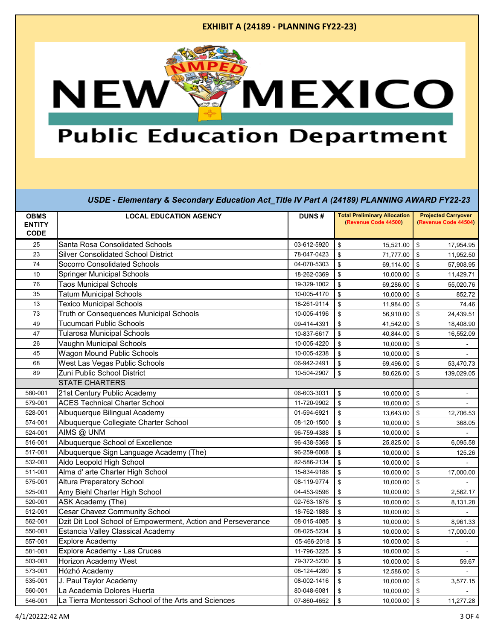

# **Public Education Department**

| <b>OBMS</b>   | <b>LOCAL EDUCATION AGENCY</b>                                | DUNS#       | <b>Total Preliminary Allocation</b> | <b>Projected Carryover</b> |
|---------------|--------------------------------------------------------------|-------------|-------------------------------------|----------------------------|
| <b>ENTITY</b> |                                                              |             | (Revenue Code 44500)                | (Revenue Code 44504)       |
| <b>CODE</b>   |                                                              |             |                                     |                            |
| 25            | Santa Rosa Consolidated Schools                              | 03-612-5920 | \$<br>15,521.00                     | \$<br>17,954.95            |
| 23            | <b>Silver Consolidated School District</b>                   | 78-047-0423 | \$<br>71,777.00                     | \$<br>11,952.50            |
| 74            | Socorro Consolidated Schools                                 | 04-070-5303 | \$<br>69,114.00                     | \$<br>57,908.95            |
| 10            | <b>Springer Municipal Schools</b>                            | 18-262-0369 | \$<br>10,000.00                     | $\mathbf{\$}$<br>11,429.71 |
| 76            | <b>Taos Municipal Schools</b>                                | 19-329-1002 | \$<br>69,286.00                     | \$<br>55,020.76            |
| 35            | <b>Tatum Municipal Schools</b>                               | 10-005-4170 | \$<br>10,000.00                     | \$<br>852.72               |
| 13            | <b>Texico Municipal Schools</b>                              | 18-261-9114 | \$<br>11,984.00                     | \$<br>74.46                |
| 73            | Truth or Consequences Municipal Schools                      | 10-005-4196 | \$<br>56,910.00                     | \$<br>24,439.51            |
| 49            | <b>Tucumcari Public Schools</b>                              | 09-414-4391 | \$<br>41,542.00                     | \$<br>18,408.90            |
| 47            | <b>Tularosa Municipal Schools</b>                            | 10-837-6617 | \$<br>40,844.00                     | \$<br>16,552.09            |
| 26            | <b>Vaughn Municipal Schools</b>                              | 10-005-4220 | \$<br>10,000.00                     | \$                         |
| 45            | <b>Wagon Mound Public Schools</b>                            | 10-005-4238 | \$<br>10,000.00                     | \$                         |
| 68            | West Las Vegas Public Schools                                | 06-942-2491 | \$<br>69,496.00                     | \$<br>53,470.73            |
| 89            | Zuni Public School District                                  | 10-504-2907 | \$<br>80,626.00                     | \$<br>139,029.05           |
|               | <b>STATE CHARTERS</b>                                        |             |                                     |                            |
| 580-001       | 21st Century Public Academy                                  | 06-603-3031 | \$<br>10,000.00                     | \$                         |
| 579-001       | <b>ACES Technical Charter School</b>                         | 11-720-9902 | \$<br>10,000.00                     | \$                         |
| 528-001       | Albuquerque Bilingual Academy                                | 01-594-6921 | \$<br>13,643.00                     | \$<br>12,706.53            |
| 574-001       | Albuquerque Collegiate Charter School                        | 08-120-1500 | \$<br>10,000.00                     | \$<br>368.05               |
| 524-001       | AIMS @ UNM                                                   | 96-759-4388 | \$<br>10,000.00                     | \$                         |
| 516-001       | Albuquerque School of Excellence                             | 96-438-5368 | \$<br>25,825.00                     | \$<br>6,095.58             |
| 517-001       | Albuquerque Sign Language Academy (The)                      | 96-259-6008 | \$<br>10,000.00                     | \$<br>125.26               |
| 532-001       | Aldo Leopold High School                                     | 82-586-2134 | \$<br>10,000.00                     | \$                         |
| 511-001       | Alma d' arte Charter High School                             | 15-834-9188 | \$<br>10,000.00                     | \$<br>17,000.00            |
| 575-001       | <b>Altura Preparatory School</b>                             | 08-119-9774 | \$<br>10,000.00                     | \$                         |
| 525-001       | Amy Biehl Charter High School                                | 04-453-9596 | \$<br>10,000.00                     | \$<br>2,562.17             |
| 520-001       | ASK Academy (The)                                            | 02-763-1876 | \$<br>10,000.00                     | \$<br>8,131.28             |
| 512-001       | <b>Cesar Chavez Community School</b>                         | 18-762-1888 | \$<br>10,000.00                     | \$                         |
| 562-001       | Dzit Dit Lool School of Empowerment, Action and Perseverance | 08-015-4085 | \$<br>10,000.00                     | \$<br>8,961.33             |
| 550-001       | Estancia Valley Classical Academy                            | 08-025-5234 | \$<br>10,000.00                     | \$<br>17,000.00            |
| 557-001       | Explore Academy                                              | 05-466-2018 | \$<br>10,000.00                     | \$                         |
| 581-001       | Explore Academy - Las Cruces                                 | 11-796-3225 | \$<br>10,000.00                     | \$<br>$\mathbf{r}$         |
| 503-001       | Horizon Academy West                                         | 79-372-5230 | \$<br>10,000.00                     | \$<br>59.67                |
| 573-001       | Hózhó Academy                                                | 08-124-4280 | \$<br>12,586.00                     | \$                         |
| 535-001       | J. Paul Taylor Academy                                       | 08-002-1416 | \$<br>10,000.00                     | \$<br>3,577.15             |
| 560-001       | La Academia Dolores Huerta                                   | 80-048-6081 | \$<br>10,000.00                     | \$                         |
| 546-001       | La Tierra Montessori School of the Arts and Sciences         | 07-860-4652 | \$<br>10,000.00                     | \$<br>11,277.28            |